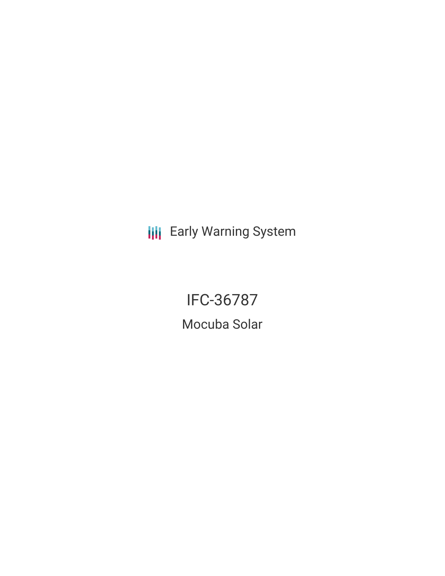**III** Early Warning System

IFC-36787 Mocuba Solar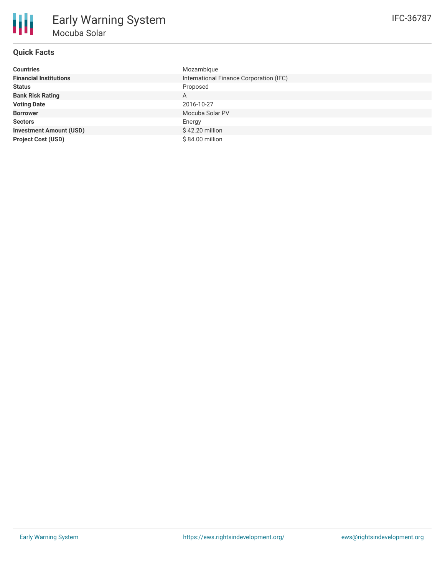# **Quick Facts**

| <b>Countries</b>               | Mozambique                              |
|--------------------------------|-----------------------------------------|
| <b>Financial Institutions</b>  | International Finance Corporation (IFC) |
| <b>Status</b>                  | Proposed                                |
| <b>Bank Risk Rating</b>        | A                                       |
| <b>Voting Date</b>             | 2016-10-27                              |
| <b>Borrower</b>                | Mocuba Solar PV                         |
| <b>Sectors</b>                 | Energy                                  |
| <b>Investment Amount (USD)</b> | \$42.20 million                         |
| <b>Project Cost (USD)</b>      | \$84.00 million                         |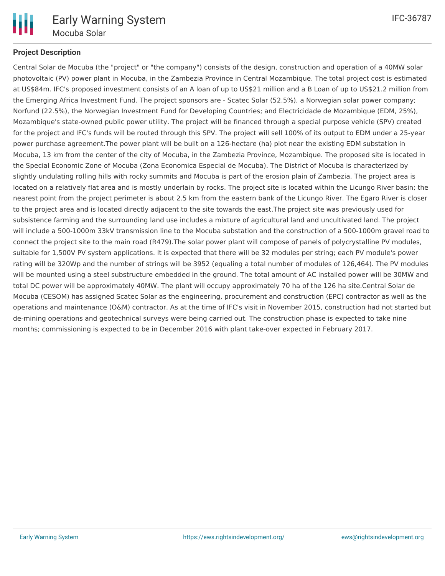

### **Project Description**

Central Solar de Mocuba (the "project" or "the company") consists of the design, construction and operation of a 40MW solar photovoltaic (PV) power plant in Mocuba, in the Zambezia Province in Central Mozambique. The total project cost is estimated at US\$84m. IFC's proposed investment consists of an A loan of up to US\$21 million and a B Loan of up to US\$21.2 million from the Emerging Africa Investment Fund. The project sponsors are - Scatec Solar (52.5%), a Norwegian solar power company; Norfund (22.5%), the Norwegian Investment Fund for Developing Countries; and Electricidade de Mozambique (EDM, 25%), Mozambique's state-owned public power utility. The project will be financed through a special purpose vehicle (SPV) created for the project and IFC's funds will be routed through this SPV. The project will sell 100% of its output to EDM under a 25-year power purchase agreement.The power plant will be built on a 126-hectare (ha) plot near the existing EDM substation in Mocuba, 13 km from the center of the city of Mocuba, in the Zambezia Province, Mozambique. The proposed site is located in the Special Economic Zone of Mocuba (Zona Economica Especial de Mocuba). The District of Mocuba is characterized by slightly undulating rolling hills with rocky summits and Mocuba is part of the erosion plain of Zambezia. The project area is located on a relatively flat area and is mostly underlain by rocks. The project site is located within the Licungo River basin; the nearest point from the project perimeter is about 2.5 km from the eastern bank of the Licungo River. The Egaro River is closer to the project area and is located directly adjacent to the site towards the east.The project site was previously used for subsistence farming and the surrounding land use includes a mixture of agricultural land and uncultivated land. The project will include a 500-1000m 33kV transmission line to the Mocuba substation and the construction of a 500-1000m gravel road to connect the project site to the main road (R479).The solar power plant will compose of panels of polycrystalline PV modules, suitable for 1,500V PV system applications. It is expected that there will be 32 modules per string; each PV module's power rating will be 320Wp and the number of strings will be 3952 (equaling a total number of modules of 126,464). The PV modules will be mounted using a steel substructure embedded in the ground. The total amount of AC installed power will be 30MW and total DC power will be approximately 40MW. The plant will occupy approximately 70 ha of the 126 ha site.Central Solar de Mocuba (CESOM) has assigned Scatec Solar as the engineering, procurement and construction (EPC) contractor as well as the operations and maintenance (O&M) contractor. As at the time of IFC's visit in November 2015, construction had not started but de-mining operations and geotechnical surveys were being carried out. The construction phase is expected to take nine months; commissioning is expected to be in December 2016 with plant take-over expected in February 2017.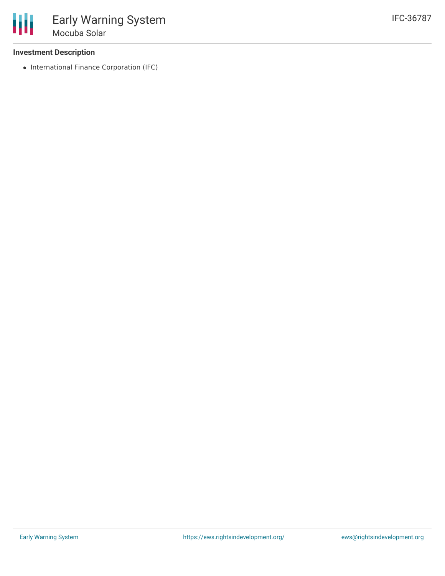#### **Investment Description**

• International Finance Corporation (IFC)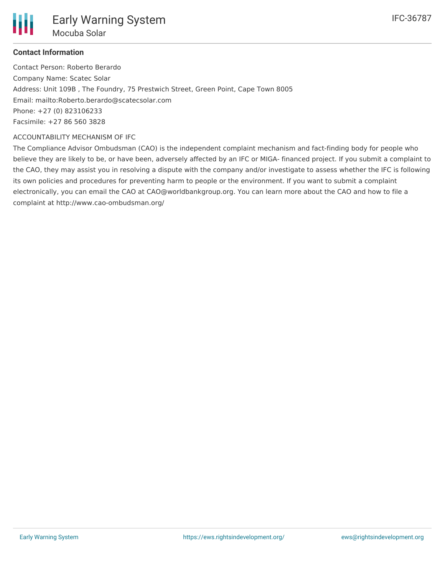Contact Person: Roberto Berardo Company Name: Scatec Solar Address: Unit 109B , The Foundry, 75 Prestwich Street, Green Point, Cape Town 8005 Email: mailto:Roberto.berardo@scatecsolar.com Phone: +27 (0) 823106233 Facsimile: +27 86 560 3828

#### ACCOUNTABILITY MECHANISM OF IFC

The Compliance Advisor Ombudsman (CAO) is the independent complaint mechanism and fact-finding body for people who believe they are likely to be, or have been, adversely affected by an IFC or MIGA- financed project. If you submit a complaint to the CAO, they may assist you in resolving a dispute with the company and/or investigate to assess whether the IFC is following its own policies and procedures for preventing harm to people or the environment. If you want to submit a complaint electronically, you can email the CAO at CAO@worldbankgroup.org. You can learn more about the CAO and how to file a complaint at http://www.cao-ombudsman.org/